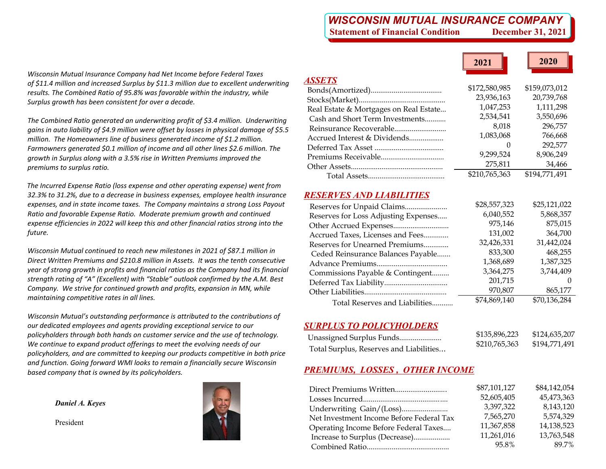# *WISCONSIN MUTUAL INSURANCE COMPANY* **Statement of Financial Condition December 31, 2021**

**2021**

**2020**

| Wisconsin Mutual Insurance Company had Net Income before Federal Taxes                  |
|-----------------------------------------------------------------------------------------|
| of \$11.4 million and increased Surplus by \$11.3 million due to excellent underwriting |
| results. The Combined Ratio of 95.8% was favorable within the industry, while           |
| Surplus arowth has been consistent for over a decade.                                   |

*The Combined Ratio generated an underwriting profit of \$3.4 million. Underwriting gains in auto liability of \$4.9 million were offset by losses in physical damage of \$5.5 million. The Homeowners line of business generated income of \$1.2 million. Farmowners generated \$0.1 million of income and all other lines \$2.6 million. The growth in Surplus along with <sup>a</sup> 3.5% rise in Written Premiums improved the premiums to surplus ratio.*

*The Incurred Expense Ratio (loss expense and other operating expense) went from 32.3% to 31.2%, due to <sup>a</sup> decrease in business expenses, employee health insurance expenses, and in state income taxes. The Company maintains <sup>a</sup> strong Loss Payout Ratio and favorable Expense Ratio. Moderate premium growth and continued expense efficiencies in 2022 will keep this and other financial ratios strong into the future.*

*Wisconsin Mutual continued to reach new milestones in 2021 of \$87.1 million in Direct Written Premiums and \$210.8 million in Assets. It was the tenth consecutive year of strong growth in profits and financial ratios as the Company had its financial strength rating of "A" (Excellent) with "Stable" outlook confirmed by the A.M. Best Company. We strive for continued growth and profits, expansion in MN, while maintaining competitive rates in all lines.*

*Wisconsin Mutual's outstanding performance is attributed to the contributions of our dedicated employees and agents providing exceptional service to our policyholders through both hands on customer service and the use of technology. We continue to expand product offerings to meet the evolving needs of our policyholders, and are committed to keeping our products competitive in both price and function. Going forward WMI looks to remain <sup>a</sup> financially secure Wisconsin based company that is owned by its policyholders.*

*Daniel A. Keyes* 

President



| <b>ASSETS</b>                          |                  |               |
|----------------------------------------|------------------|---------------|
|                                        | \$172,580,985    | \$159,073,012 |
|                                        | 23,936,163       | 20,739,768    |
| Real Estate & Mortgages on Real Estate | 1,047,253        | 1,111,298     |
| Cash and Short Term Investments        | 2,534,541        | 3,550,696     |
|                                        | 8.018            | 296,757       |
| Accrued Interest & Dividends           | 1,083,068        | 766,668       |
|                                        | $\left( \right)$ | 292,577       |
|                                        | 9,299,524        | 8,906,249     |
|                                        | 275,811          | 34,466        |
|                                        | \$210,765,363    | \$194,771,491 |
|                                        |                  |               |

## *RESERVES AND LIABILITIES*

|                                      | \$28,557,323 | \$25,121,022 |
|--------------------------------------|--------------|--------------|
| Reserves for Loss Adjusting Expenses | 6,040,552    | 5,868,357    |
|                                      | 975,146      | 875,015      |
| Accrued Taxes, Licenses and Fees     | 131,002      | 364,700      |
| Reserves for Unearned Premiums       | 32,426,331   | 31,442,024   |
| Ceded Reinsurance Balances Payable   | 833,300      | 468,255      |
|                                      | 1,368,689    | 1,387,325    |
| Commissions Payable & Contingent     | 3,364,275    | 3,744,409    |
|                                      | 201,715      | $\theta$     |
|                                      | 970,807      | 865,177      |
| Total Reserves and Liabilities       | \$74,869,140 | \$70,136,284 |
|                                      |              |              |

# *SURPLUS TO POLICYHOLDERS*

| \$135,896,223<br>Unassigned Surplus Funds                | \$124,635,207 |
|----------------------------------------------------------|---------------|
| \$210,765,363<br>Total Surplus, Reserves and Liabilities | \$194,771,491 |

# *PREMIUMS, LOSSES , OTHER INCOME*

| \$84,142,054 |
|--------------|
| 45,473,363   |
| 8,143,120    |
| 5,574,329    |
| 14,138,523   |
| 13,763,548   |
| 89.7%        |
|              |